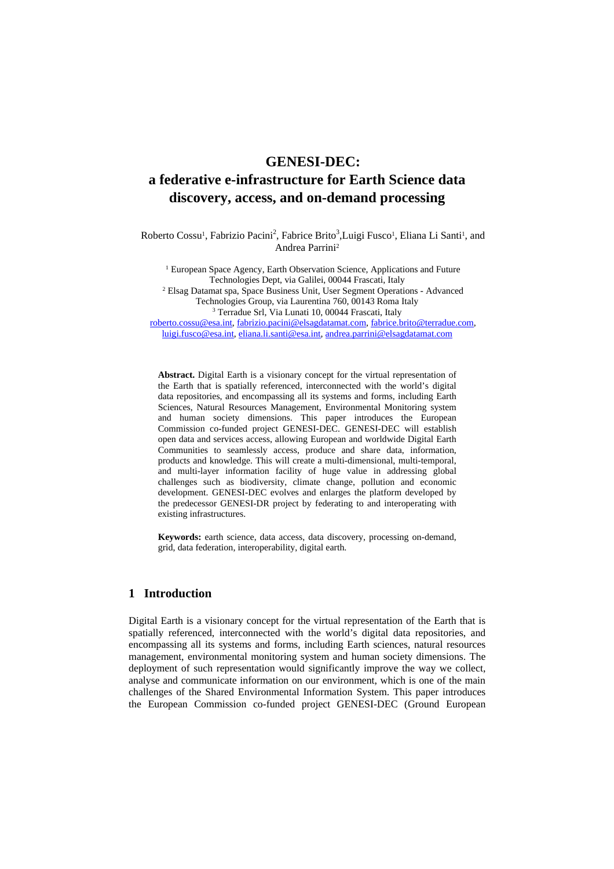# **GENESI-DEC: a federative e-infrastructure for Earth Science data discovery, access, and on-demand processing**

Roberto Cossu<sup>1</sup>, Fabrizio Pacini<sup>2</sup>, Fabrice Brito<sup>3</sup>, Luigi Fusco<sup>1</sup>, Eliana Li Santi<sup>1</sup>, and Andrea Parrini2

<sup>1</sup> European Space Agency, Earth Observation Science, Applications and Future Technologies Dept, via Galilei, 00044 Frascati, Italy 2 Elsag Datamat spa, Space Business Unit, User Segment Operations - Advanced Technologies Group, via Laurentina 760, 00143 Roma Italy 3 <sup>3</sup> Terradue Srl, Via Lunati 10, 00044 Frascati, Italy

roberto.cossu@esa.int, fabrizio.pacini@elsagdatamat.com, fabrice.brito@terradue.com, luigi.fusco@esa.int, eliana.li.santi@esa.int, andrea.parrini@elsagdatamat.com

**Abstract.** Digital Earth is a visionary concept for the virtual representation of the Earth that is spatially referenced, interconnected with the world's digital data repositories, and encompassing all its systems and forms, including Earth Sciences, Natural Resources Management, Environmental Monitoring system and human society dimensions. This paper introduces the European Commission co-funded project GENESI-DEC. GENESI-DEC will establish open data and services access, allowing European and worldwide Digital Earth Communities to seamlessly access, produce and share data, information, products and knowledge. This will create a multi-dimensional, multi-temporal, and multi-layer information facility of huge value in addressing global challenges such as biodiversity, climate change, pollution and economic development. GENESI-DEC evolves and enlarges the platform developed by the predecessor GENESI-DR project by federating to and interoperating with existing infrastructures.

**Keywords:** earth science, data access, data discovery, processing on-demand, grid, data federation, interoperability, digital earth.

# **1 Introduction**

Digital Earth is a visionary concept for the virtual representation of the Earth that is spatially referenced, interconnected with the world's digital data repositories, and encompassing all its systems and forms, including Earth sciences, natural resources management, environmental monitoring system and human society dimensions. The deployment of such representation would significantly improve the way we collect, analyse and communicate information on our environment, which is one of the main challenges of the Shared Environmental Information System. This paper introduces the European Commission co-funded project GENESI-DEC (Ground European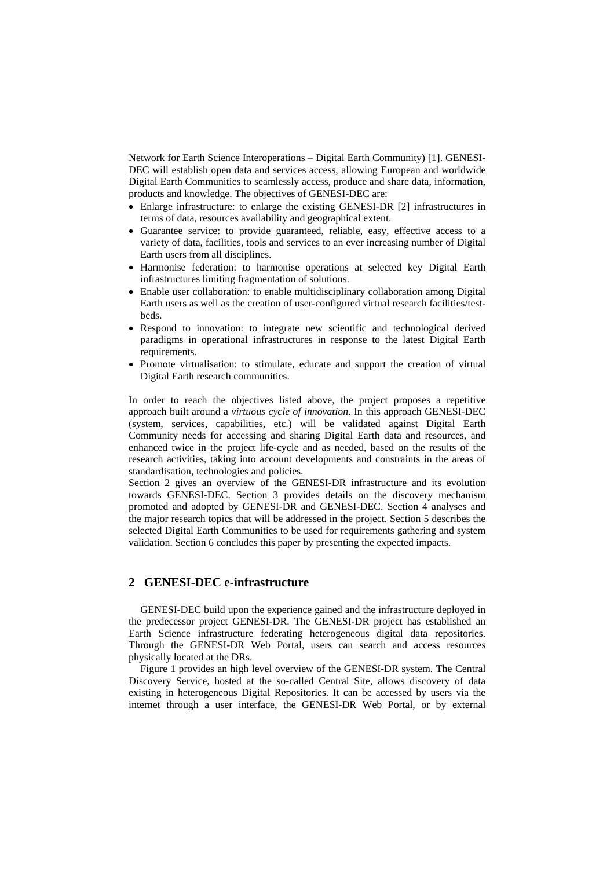Network for Earth Science Interoperations – Digital Earth Community) [1]. GENESI-DEC will establish open data and services access, allowing European and worldwide Digital Earth Communities to seamlessly access, produce and share data, information, products and knowledge. The objectives of GENESI-DEC are:

- Enlarge infrastructure: to enlarge the existing GENESI-DR [2] infrastructures in terms of data, resources availability and geographical extent.
- Guarantee service: to provide guaranteed, reliable, easy, effective access to a variety of data, facilities, tools and services to an ever increasing number of Digital Earth users from all disciplines.
- Harmonise federation: to harmonise operations at selected key Digital Earth infrastructures limiting fragmentation of solutions.
- Enable user collaboration: to enable multidisciplinary collaboration among Digital Earth users as well as the creation of user-configured virtual research facilities/testbeds.
- Respond to innovation: to integrate new scientific and technological derived paradigms in operational infrastructures in response to the latest Digital Earth requirements.
- Promote virtualisation: to stimulate, educate and support the creation of virtual Digital Earth research communities.

In order to reach the objectives listed above, the project proposes a repetitive approach built around a *virtuous cycle of innovation*. In this approach GENESI-DEC (system, services, capabilities, etc.) will be validated against Digital Earth Community needs for accessing and sharing Digital Earth data and resources, and enhanced twice in the project life-cycle and as needed, based on the results of the research activities, taking into account developments and constraints in the areas of standardisation, technologies and policies.

Section 2 gives an overview of the GENESI-DR infrastructure and its evolution towards GENESI-DEC. Section 3 provides details on the discovery mechanism promoted and adopted by GENESI-DR and GENESI-DEC. Section 4 analyses and the major research topics that will be addressed in the project. Section 5 describes the selected Digital Earth Communities to be used for requirements gathering and system validation. Section 6 concludes this paper by presenting the expected impacts.

## **2 GENESI-DEC e-infrastructure**

GENESI-DEC build upon the experience gained and the infrastructure deployed in the predecessor project GENESI-DR. The GENESI-DR project has established an Earth Science infrastructure federating heterogeneous digital data repositories. Through the GENESI-DR Web Portal, users can search and access resources physically located at the DRs.

Figure 1 provides an high level overview of the GENESI-DR system. The Central Discovery Service, hosted at the so-called Central Site, allows discovery of data existing in heterogeneous Digital Repositories. It can be accessed by users via the internet through a user interface, the GENESI-DR Web Portal, or by external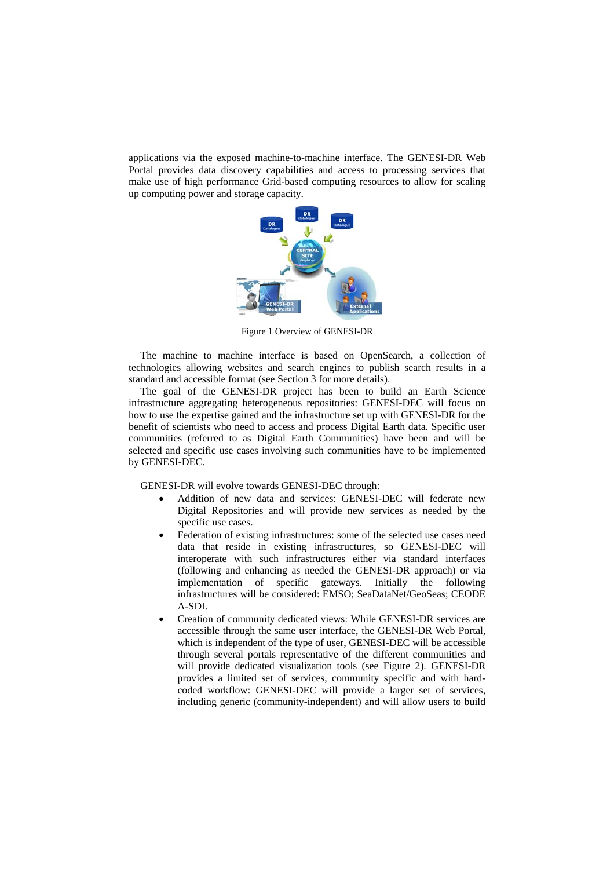applications via the exposed machine-to-machine interface. The GENESI-DR Web Portal provides data discovery capabilities and access to processing services that make use of high performance Grid-based computing resources to allow for scaling up computing power and storage capacity.



Figure 1 Overview of GENESI-DR

The machine to machine interface is based on OpenSearch, a collection of technologies allowing websites and search engines to publish search results in a standard and accessible format (see Section 3 for more details).

The goal of the GENESI-DR project has been to build an Earth Science infrastructure aggregating heterogeneous repositories: GENESI-DEC will focus on how to use the expertise gained and the infrastructure set up with GENESI-DR for the benefit of scientists who need to access and process Digital Earth data. Specific user communities (referred to as Digital Earth Communities) have been and will be selected and specific use cases involving such communities have to be implemented by GENESI-DEC.

GENESI-DR will evolve towards GENESI-DEC through:

- Addition of new data and services: GENESI-DEC will federate new Digital Repositories and will provide new services as needed by the specific use cases.
- Federation of existing infrastructures: some of the selected use cases need data that reside in existing infrastructures, so GENESI-DEC will interoperate with such infrastructures either via standard interfaces (following and enhancing as needed the GENESI-DR approach) or via implementation of specific gateways. Initially the following infrastructures will be considered: EMSO; SeaDataNet/GeoSeas; CEODE A-SDI.
- Creation of community dedicated views: While GENESI-DR services are accessible through the same user interface, the GENESI-DR Web Portal, which is independent of the type of user, GENESI-DEC will be accessible through several portals representative of the different communities and will provide dedicated visualization tools (see Figure 2). GENESI-DR provides a limited set of services, community specific and with hardcoded workflow: GENESI-DEC will provide a larger set of services, including generic (community-independent) and will allow users to build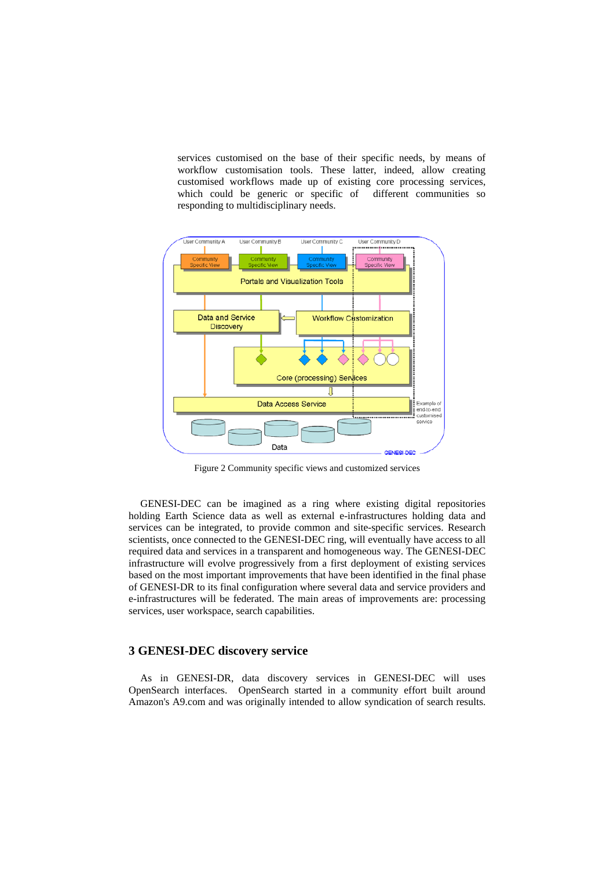services customised on the base of their specific needs, by means of workflow customisation tools. These latter, indeed, allow creating customised workflows made up of existing core processing services, which could be generic or specific of different communities so responding to multidisciplinary needs.



Figure 2 Community specific views and customized services

GENESI-DEC can be imagined as a ring where existing digital repositories holding Earth Science data as well as external e-infrastructures holding data and services can be integrated, to provide common and site-specific services. Research scientists, once connected to the GENESI-DEC ring, will eventually have access to all required data and services in a transparent and homogeneous way. The GENESI-DEC infrastructure will evolve progressively from a first deployment of existing services based on the most important improvements that have been identified in the final phase of GENESI-DR to its final configuration where several data and service providers and e-infrastructures will be federated. The main areas of improvements are: processing services, user workspace, search capabilities.

# **3 GENESI-DEC discovery service**

As in GENESI-DR, data discovery services in GENESI-DEC will uses OpenSearch interfaces. OpenSearch started in a community effort built around Amazon's A9.com and was originally intended to allow syndication of search results.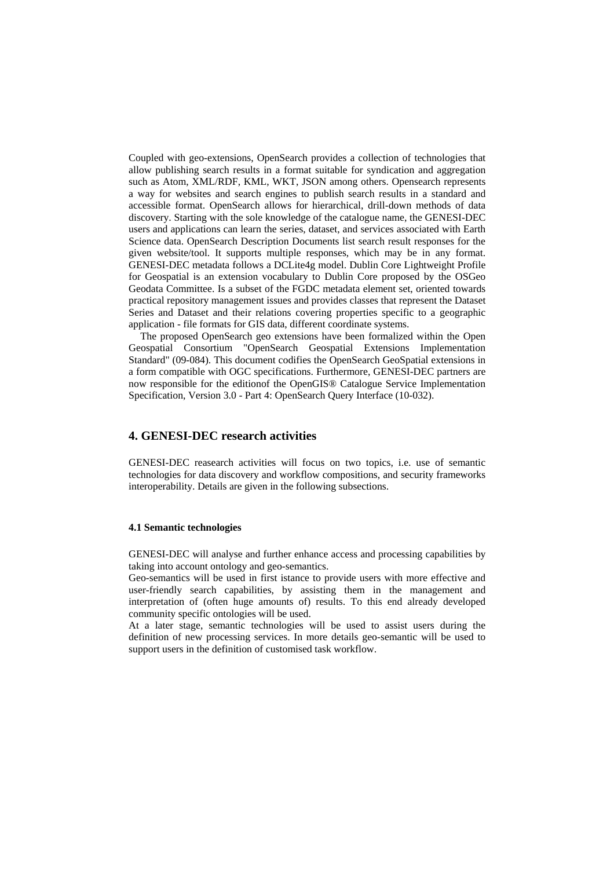Coupled with geo-extensions, OpenSearch provides a collection of technologies that allow publishing search results in a format suitable for syndication and aggregation such as Atom, XML/RDF, KML, WKT, JSON among others. Opensearch represents a way for websites and search engines to publish search results in a standard and accessible format. OpenSearch allows for hierarchical, drill-down methods of data discovery. Starting with the sole knowledge of the catalogue name, the GENESI-DEC users and applications can learn the series, dataset, and services associated with Earth Science data. OpenSearch Description Documents list search result responses for the given website/tool. It supports multiple responses, which may be in any format. GENESI-DEC metadata follows a DCLite4g model. Dublin Core Lightweight Profile for Geospatial is an extension vocabulary to Dublin Core proposed by the OSGeo Geodata Committee. Is a subset of the FGDC metadata element set, oriented towards practical repository management issues and provides classes that represent the Dataset Series and Dataset and their relations covering properties specific to a geographic application - file formats for GIS data, different coordinate systems.

The proposed OpenSearch geo extensions have been formalized within the Open Geospatial Consortium "OpenSearch Geospatial Extensions Implementation Standard" (09-084). This document codifies the OpenSearch GeoSpatial extensions in a form compatible with OGC specifications. Furthermore, GENESI-DEC partners are now responsible for the editionof the OpenGIS® Catalogue Service Implementation Specification, Version 3.0 - Part 4: OpenSearch Query Interface (10-032).

## **4. GENESI-DEC research activities**

GENESI-DEC reasearch activities will focus on two topics, i.e. use of semantic technologies for data discovery and workflow compositions, and security frameworks interoperability. Details are given in the following subsections.

#### **4.1 Semantic technologies**

GENESI-DEC will analyse and further enhance access and processing capabilities by taking into account ontology and geo-semantics.

Geo-semantics will be used in first istance to provide users with more effective and user-friendly search capabilities, by assisting them in the management and interpretation of (often huge amounts of) results. To this end already developed community specific ontologies will be used.

At a later stage, semantic technologies will be used to assist users during the definition of new processing services. In more details geo-semantic will be used to support users in the definition of customised task workflow.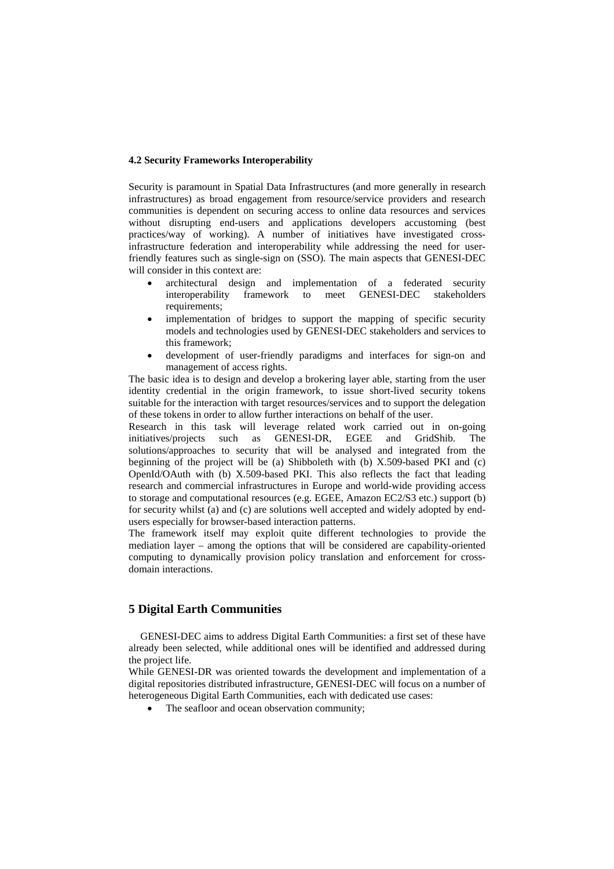#### **4.2 Security Frameworks Interoperability**

Security is paramount in Spatial Data Infrastructures (and more generally in research infrastructures) as broad engagement from resource/service providers and research communities is dependent on securing access to online data resources and services without disrupting end-users and applications developers accustoming (best practices/way of working). A number of initiatives have investigated crossinfrastructure federation and interoperability while addressing the need for userfriendly features such as single-sign on (SSO). The main aspects that GENESI-DEC will consider in this context are:

- architectural design and implementation of a federated security interoperability framework to meet GENESI-DEC stakeholders requirements;
- implementation of bridges to support the mapping of specific security models and technologies used by GENESI-DEC stakeholders and services to this framework;
- development of user-friendly paradigms and interfaces for sign-on and management of access rights.

The basic idea is to design and develop a brokering layer able, starting from the user identity credential in the origin framework, to issue short-lived security tokens suitable for the interaction with target resources/services and to support the delegation of these tokens in order to allow further interactions on behalf of the user.

Research in this task will leverage related work carried out in on-going initiatives/projects such as GENESI-DR, EGEE and GridShib. The solutions/approaches to security that will be analysed and integrated from the beginning of the project will be (a) Shibboleth with (b) X.509-based PKI and (c) OpenId/OAuth with (b) X.509-based PKI. This also reflects the fact that leading research and commercial infrastructures in Europe and world-wide providing access to storage and computational resources (e.g. EGEE, Amazon EC2/S3 etc.) support (b) for security whilst (a) and (c) are solutions well accepted and widely adopted by endusers especially for browser-based interaction patterns.

The framework itself may exploit quite different technologies to provide the mediation layer – among the options that will be considered are capability-oriented computing to dynamically provision policy translation and enforcement for crossdomain interactions.

# **5 Digital Earth Communities**

GENESI-DEC aims to address Digital Earth Communities: a first set of these have already been selected, while additional ones will be identified and addressed during the project life.

While GENESI-DR was oriented towards the development and implementation of a digital repositories distributed infrastructure, GENESI-DEC will focus on a number of heterogeneous Digital Earth Communities, each with dedicated use cases:

• The seafloor and ocean observation community;